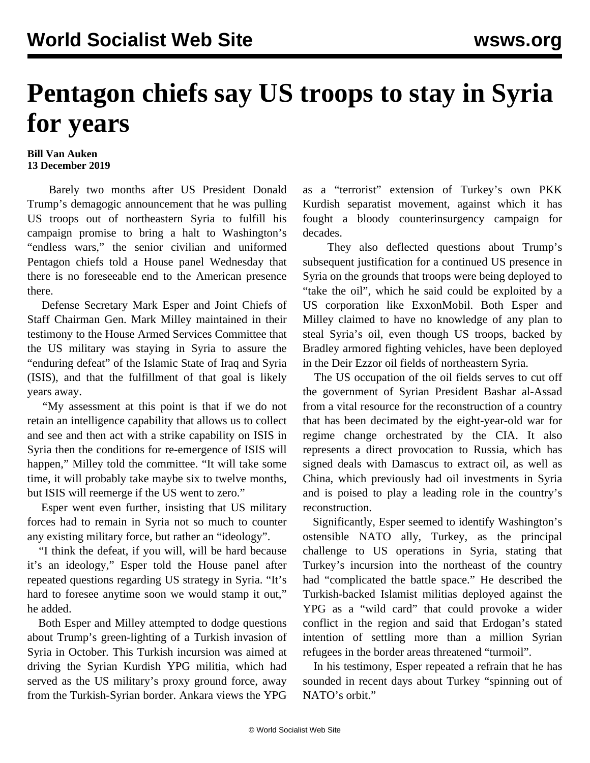## **Pentagon chiefs say US troops to stay in Syria for years**

## **Bill Van Auken 13 December 2019**

 Barely two months after US President Donald Trump's demagogic announcement that he was pulling US troops out of northeastern Syria to fulfill his campaign promise to bring a halt to Washington's "endless wars," the senior civilian and uniformed Pentagon chiefs told a House panel Wednesday that there is no foreseeable end to the American presence there.

 Defense Secretary Mark Esper and Joint Chiefs of Staff Chairman Gen. Mark Milley maintained in their testimony to the House Armed Services Committee that the US military was staying in Syria to assure the "enduring defeat" of the Islamic State of Iraq and Syria (ISIS), and that the fulfillment of that goal is likely years away.

 "My assessment at this point is that if we do not retain an intelligence capability that allows us to collect and see and then act with a strike capability on ISIS in Syria then the conditions for re-emergence of ISIS will happen," Milley told the committee. "It will take some time, it will probably take maybe six to twelve months, but ISIS will reemerge if the US went to zero."

 Esper went even further, insisting that US military forces had to remain in Syria not so much to counter any existing military force, but rather an "ideology".

 "I think the defeat, if you will, will be hard because it's an ideology," Esper told the House panel after repeated questions regarding US strategy in Syria. "It's hard to foresee anytime soon we would stamp it out," he added.

 Both Esper and Milley attempted to dodge questions about Trump's green-lighting of a Turkish invasion of Syria in October. This Turkish incursion was aimed at driving the Syrian Kurdish YPG militia, which had served as the US military's proxy ground force, away from the Turkish-Syrian border. Ankara views the YPG as a "terrorist" extension of Turkey's own PKK Kurdish separatist movement, against which it has fought a bloody counterinsurgency campaign for decades.

 They also deflected questions about Trump's subsequent justification for a continued US presence in Syria on the grounds that troops were being deployed to "take the oil", which he said could be exploited by a US corporation like ExxonMobil. Both Esper and Milley claimed to have no knowledge of any plan to steal Syria's oil, even though US troops, backed by Bradley armored fighting vehicles, have been deployed in the Deir Ezzor oil fields of northeastern Syria.

 The US occupation of the oil fields serves to cut off the government of Syrian President Bashar al-Assad from a vital resource for the reconstruction of a country that has been decimated by the eight-year-old war for regime change orchestrated by the CIA. It also represents a direct provocation to Russia, which has signed deals with Damascus to extract oil, as well as China, which previously had oil investments in Syria and is poised to play a leading role in the country's reconstruction.

 Significantly, Esper seemed to identify Washington's ostensible NATO ally, Turkey, as the principal challenge to US operations in Syria, stating that Turkey's incursion into the northeast of the country had "complicated the battle space." He described the Turkish-backed Islamist militias deployed against the YPG as a "wild card" that could provoke a wider conflict in the region and said that Erdogan's stated intention of settling more than a million Syrian refugees in the border areas threatened "turmoil".

 In his testimony, Esper repeated a refrain that he has sounded in recent days about Turkey "spinning out of NATO's orbit."